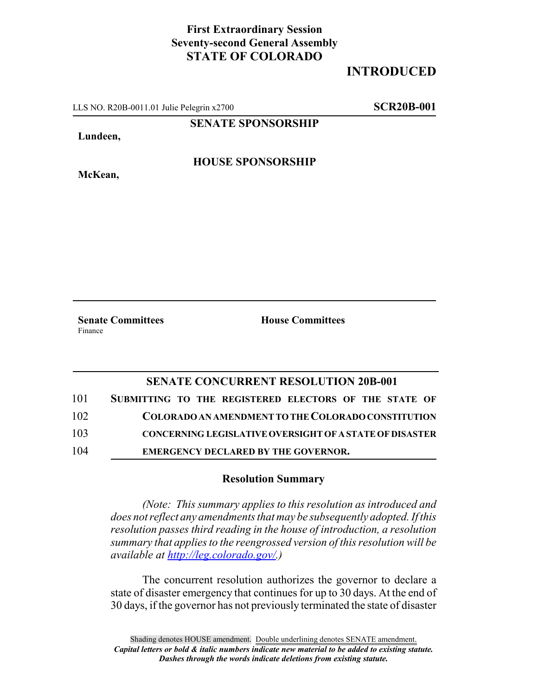## **First Extraordinary Session Seventy-second General Assembly STATE OF COLORADO**

## **INTRODUCED**

LLS NO. R20B-0011.01 Julie Pelegrin x2700 **SCR20B-001**

**SENATE SPONSORSHIP**

**Lundeen,**

**McKean,**

**HOUSE SPONSORSHIP**

Finance

**Senate Committees House Committees** 

## **SENATE CONCURRENT RESOLUTION 20B-001**

| 101 | SUBMITTING TO THE REGISTERED ELECTORS OF THE STATE OF          |
|-----|----------------------------------------------------------------|
| 102 | COLORADO AN AMENDMENT TO THE COLORADO CONSTITUTION             |
| 103 | <b>CONCERNING LEGISLATIVE OVERSIGHT OF A STATE OF DISASTER</b> |
| 104 | <b>EMERGENCY DECLARED BY THE GOVERNOR.</b>                     |

## **Resolution Summary**

*(Note: This summary applies to this resolution as introduced and does not reflect any amendments that may be subsequently adopted. If this resolution passes third reading in the house of introduction, a resolution summary that applies to the reengrossed version of this resolution will be available at http://leg.colorado.gov/.)*

The concurrent resolution authorizes the governor to declare a state of disaster emergency that continues for up to 30 days. At the end of 30 days, if the governor has not previously terminated the state of disaster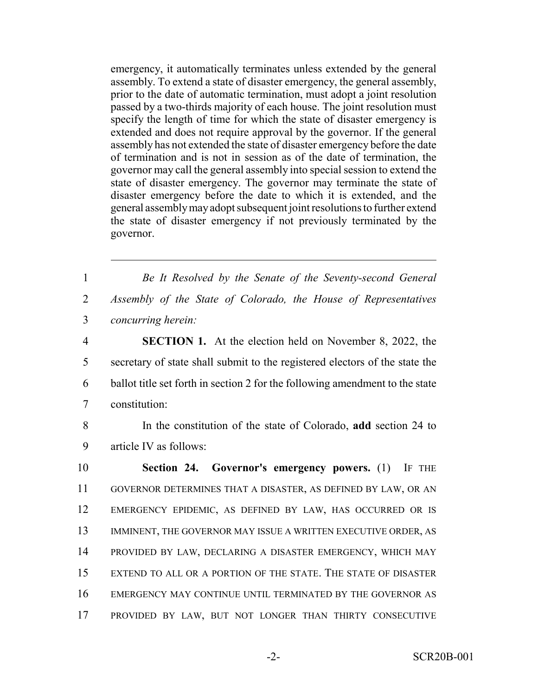emergency, it automatically terminates unless extended by the general assembly. To extend a state of disaster emergency, the general assembly, prior to the date of automatic termination, must adopt a joint resolution passed by a two-thirds majority of each house. The joint resolution must specify the length of time for which the state of disaster emergency is extended and does not require approval by the governor. If the general assembly has not extended the state of disaster emergency before the date of termination and is not in session as of the date of termination, the governor may call the general assembly into special session to extend the state of disaster emergency. The governor may terminate the state of disaster emergency before the date to which it is extended, and the general assembly may adopt subsequent joint resolutions to further extend the state of disaster emergency if not previously terminated by the governor.

1 *Be It Resolved by the Senate of the Seventy-second General* 2 *Assembly of the State of Colorado, the House of Representatives* 3 *concurring herein:*

 **SECTION 1.** At the election held on November 8, 2022, the secretary of state shall submit to the registered electors of the state the ballot title set forth in section 2 for the following amendment to the state constitution:

8 In the constitution of the state of Colorado, **add** section 24 to 9 article IV as follows:

 **Section 24. Governor's emergency powers.** (1) IF THE GOVERNOR DETERMINES THAT A DISASTER, AS DEFINED BY LAW, OR AN EMERGENCY EPIDEMIC, AS DEFINED BY LAW, HAS OCCURRED OR IS 13 IMMINENT, THE GOVERNOR MAY ISSUE A WRITTEN EXECUTIVE ORDER, AS PROVIDED BY LAW, DECLARING A DISASTER EMERGENCY, WHICH MAY EXTEND TO ALL OR A PORTION OF THE STATE. THE STATE OF DISASTER EMERGENCY MAY CONTINUE UNTIL TERMINATED BY THE GOVERNOR AS PROVIDED BY LAW, BUT NOT LONGER THAN THIRTY CONSECUTIVE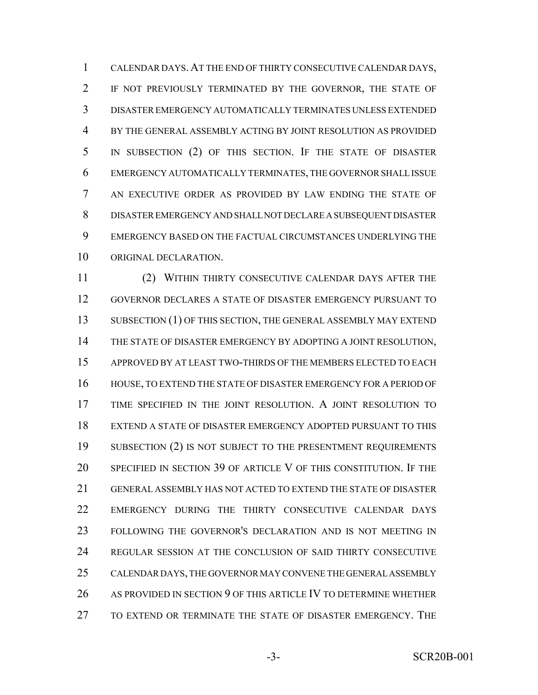CALENDAR DAYS.AT THE END OF THIRTY CONSECUTIVE CALENDAR DAYS, IF NOT PREVIOUSLY TERMINATED BY THE GOVERNOR, THE STATE OF DISASTER EMERGENCY AUTOMATICALLY TERMINATES UNLESS EXTENDED BY THE GENERAL ASSEMBLY ACTING BY JOINT RESOLUTION AS PROVIDED IN SUBSECTION (2) OF THIS SECTION. IF THE STATE OF DISASTER EMERGENCY AUTOMATICALLY TERMINATES, THE GOVERNOR SHALL ISSUE AN EXECUTIVE ORDER AS PROVIDED BY LAW ENDING THE STATE OF DISASTER EMERGENCY AND SHALL NOT DECLARE A SUBSEQUENT DISASTER EMERGENCY BASED ON THE FACTUAL CIRCUMSTANCES UNDERLYING THE ORIGINAL DECLARATION.

 (2) WITHIN THIRTY CONSECUTIVE CALENDAR DAYS AFTER THE GOVERNOR DECLARES A STATE OF DISASTER EMERGENCY PURSUANT TO 13 SUBSECTION (1) OF THIS SECTION, THE GENERAL ASSEMBLY MAY EXTEND THE STATE OF DISASTER EMERGENCY BY ADOPTING A JOINT RESOLUTION, APPROVED BY AT LEAST TWO-THIRDS OF THE MEMBERS ELECTED TO EACH HOUSE, TO EXTEND THE STATE OF DISASTER EMERGENCY FOR A PERIOD OF TIME SPECIFIED IN THE JOINT RESOLUTION. A JOINT RESOLUTION TO EXTEND A STATE OF DISASTER EMERGENCY ADOPTED PURSUANT TO THIS 19 SUBSECTION (2) IS NOT SUBJECT TO THE PRESENTMENT REQUIREMENTS SPECIFIED IN SECTION 39 OF ARTICLE V OF THIS CONSTITUTION. IF THE GENERAL ASSEMBLY HAS NOT ACTED TO EXTEND THE STATE OF DISASTER EMERGENCY DURING THE THIRTY CONSECUTIVE CALENDAR DAYS FOLLOWING THE GOVERNOR'S DECLARATION AND IS NOT MEETING IN REGULAR SESSION AT THE CONCLUSION OF SAID THIRTY CONSECUTIVE CALENDAR DAYS, THE GOVERNOR MAY CONVENE THE GENERAL ASSEMBLY 26 AS PROVIDED IN SECTION 9 OF THIS ARTICLE IV TO DETERMINE WHETHER TO EXTEND OR TERMINATE THE STATE OF DISASTER EMERGENCY. THE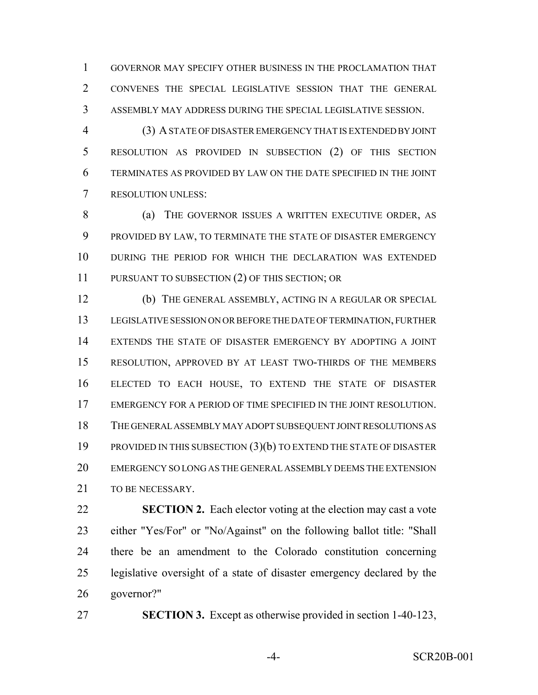GOVERNOR MAY SPECIFY OTHER BUSINESS IN THE PROCLAMATION THAT CONVENES THE SPECIAL LEGISLATIVE SESSION THAT THE GENERAL ASSEMBLY MAY ADDRESS DURING THE SPECIAL LEGISLATIVE SESSION.

 (3) A STATE OF DISASTER EMERGENCY THAT IS EXTENDED BY JOINT RESOLUTION AS PROVIDED IN SUBSECTION (2) OF THIS SECTION TERMINATES AS PROVIDED BY LAW ON THE DATE SPECIFIED IN THE JOINT RESOLUTION UNLESS:

8 (a) THE GOVERNOR ISSUES A WRITTEN EXECUTIVE ORDER, AS PROVIDED BY LAW, TO TERMINATE THE STATE OF DISASTER EMERGENCY DURING THE PERIOD FOR WHICH THE DECLARATION WAS EXTENDED 11 PURSUANT TO SUBSECTION (2) OF THIS SECTION; OR

 (b) THE GENERAL ASSEMBLY, ACTING IN A REGULAR OR SPECIAL LEGISLATIVE SESSION ON OR BEFORE THE DATE OF TERMINATION, FURTHER EXTENDS THE STATE OF DISASTER EMERGENCY BY ADOPTING A JOINT RESOLUTION, APPROVED BY AT LEAST TWO-THIRDS OF THE MEMBERS ELECTED TO EACH HOUSE, TO EXTEND THE STATE OF DISASTER EMERGENCY FOR A PERIOD OF TIME SPECIFIED IN THE JOINT RESOLUTION. THE GENERAL ASSEMBLY MAY ADOPT SUBSEQUENT JOINT RESOLUTIONS AS PROVIDED IN THIS SUBSECTION (3)(b) TO EXTEND THE STATE OF DISASTER EMERGENCY SO LONG AS THE GENERAL ASSEMBLY DEEMS THE EXTENSION 21 TO BE NECESSARY.

 **SECTION 2.** Each elector voting at the election may cast a vote either "Yes/For" or "No/Against" on the following ballot title: "Shall there be an amendment to the Colorado constitution concerning legislative oversight of a state of disaster emergency declared by the governor?"

**SECTION 3.** Except as otherwise provided in section 1-40-123,